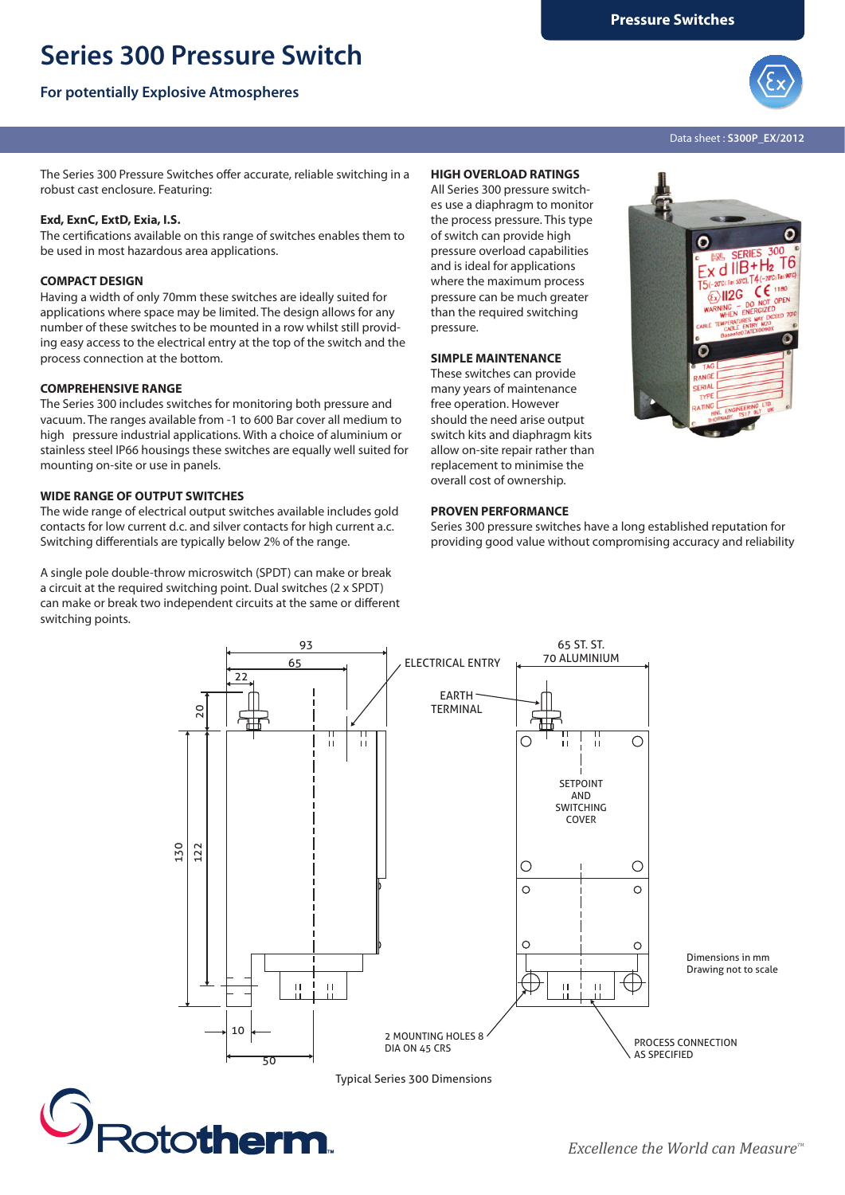# **Series 300 Pressure Switch**

## **For potentially Explosive Atmospheres**



G



n

 $\frac{1}{d}$  IIB+H<sub>2</sub> T6  $T<sub>as</sub>55C$ ),  $T4$ (--CE

 $\langle \overline{\mathbf{E}} \rangle$ II2G

Data sheet : **S300P\_EX/2012**

The Series 300 Pressure Switches offer accurate, reliable switching in a robust cast enclosure. Featuring:

## **Exd, ExnC, ExtD, Exia, I.S.**

The certifications available on this range of switches enables them to be used in most hazardous area applications.

## **COMPACT DESIGN**

Having a width of only 70mm these switches are ideally suited for applications where space may be limited. The design allows for any number of these switches to be mounted in a row whilst still providing easy access to the electrical entry at the top of the switch and the process connection at the bottom.

## **COMPREHENSIVE RANGE**

The Series 300 includes switches for monitoring both pressure and vacuum. The ranges available from -1 to 600 Bar cover all medium to high pressure industrial applications. With a choice of aluminium or stainless steel IP66 housings these switches are equally well suited for mounting on-site or use in panels.

## **WIDE RANGE OF OUTPUT SWITCHES**

The wide range of electrical output switches available includes gold contacts for low current d.c. and silver contacts for high current a.c. Switching differentials are typically below 2% of the range.

A single pole double-throw microswitch (SPDT) can make or break a circuit at the required switching point. Dual switches (2 x SPDT) can make or break two independent circuits at the same or different switching points.

## **HIGH OVERLOAD RATINGS**

All Series 300 pressure switches use a diaphragm to monitor the process pressure. This type of switch can provide high pressure overload capabilities and is ideal for applications where the maximum process pressure can be much greater than the required switching pressure.

#### **SIMPLE MAINTENANCE**

These switches can provide many years of maintenance free operation. However should the need arise output switch kits and diaphragm kits allow on-site repair rather than replacement to minimise the overall cost of ownership.



Series 300 pressure switches have a long established reputation for providing good value without compromising accuracy and reliability



Typical Series 300 Dimensions

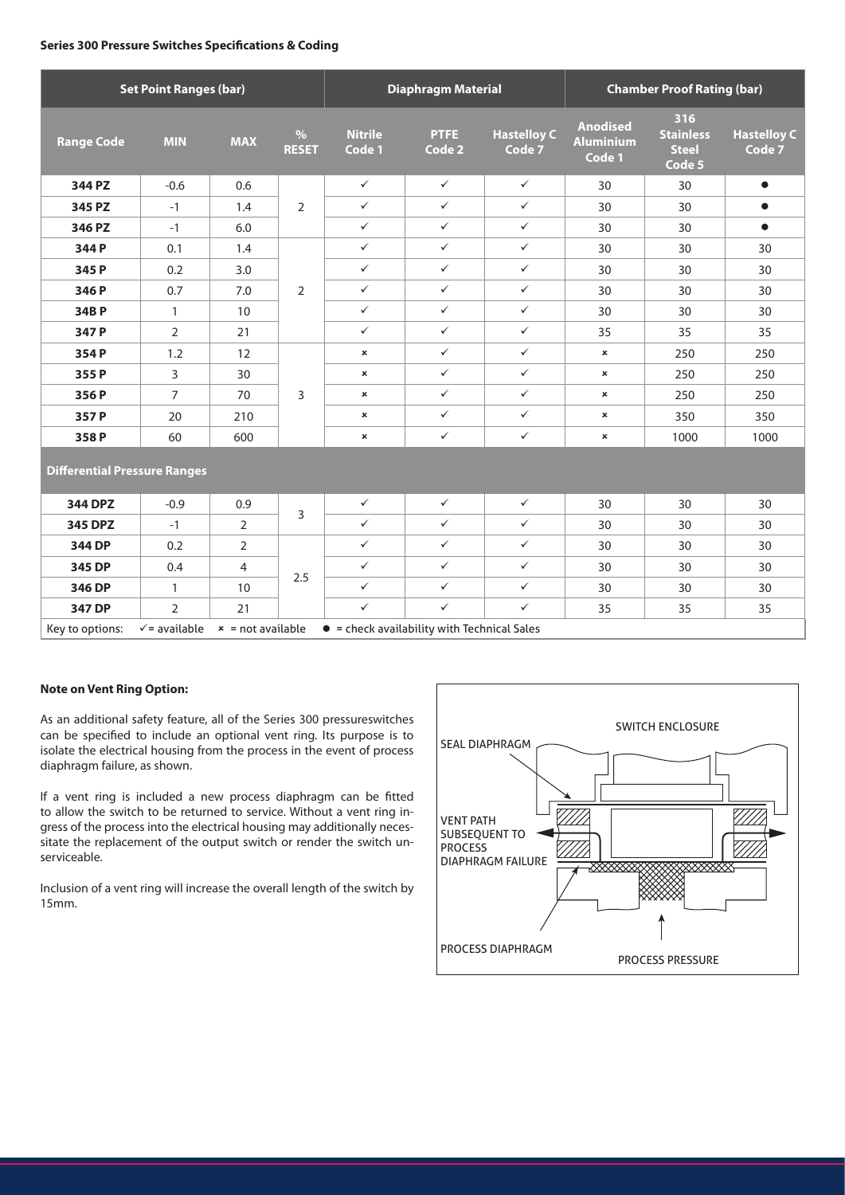#### **Series 300 Pressure Switches Specifications & Coding**

| <b>Set Point Ranges (bar)</b>       |                |                                                                                                              |                      | <b>Diaphragm Material</b> |                       |                              | <b>Chamber Proof Rating (bar)</b>             |                                                   |                              |
|-------------------------------------|----------------|--------------------------------------------------------------------------------------------------------------|----------------------|---------------------------|-----------------------|------------------------------|-----------------------------------------------|---------------------------------------------------|------------------------------|
| <b>Range Code</b>                   | <b>MIN</b>     | <b>MAX</b>                                                                                                   | $\%$<br><b>RESET</b> | <b>Nitrile</b><br>Code 1  | <b>PTFE</b><br>Code 2 | <b>Hastelloy C</b><br>Code 7 | <b>Anodised</b><br><b>Aluminium</b><br>Code 1 | 316<br><b>Stainless</b><br><b>Steel</b><br>Code 5 | <b>Hastelloy C</b><br>Code 7 |
| 344 PZ                              | $-0.6$         | 0.6                                                                                                          | $\overline{2}$       | $\checkmark$              | $\checkmark$          | $\checkmark$                 | 30                                            | 30                                                | $\bullet$                    |
| 345 PZ                              | $-1$           | 1.4                                                                                                          |                      | $\checkmark$              | $\checkmark$          | $\checkmark$                 | 30                                            | 30                                                | $\bullet$                    |
| 346 PZ                              | $-1$           | 6.0                                                                                                          |                      | $\checkmark$              | $\checkmark$          | $\checkmark$                 | 30                                            | 30                                                | $\bullet$                    |
| 344 P                               | 0.1            | 1.4                                                                                                          | $\overline{2}$       | $\checkmark$              | $\checkmark$          | $\checkmark$                 | 30                                            | 30                                                | 30                           |
| 345 P                               | 0.2            | 3.0                                                                                                          |                      | $\checkmark$              | $\checkmark$          | $\checkmark$                 | 30                                            | 30                                                | 30                           |
| 346 P                               | 0.7            | 7.0                                                                                                          |                      | $\checkmark$              | $\checkmark$          | $\checkmark$                 | 30                                            | 30                                                | 30                           |
| 34BP                                | $\mathbf{1}$   | 10                                                                                                           |                      | $\checkmark$              | $\checkmark$          | $\checkmark$                 | 30                                            | 30                                                | 30                           |
| 347 P                               | $\overline{2}$ | 21                                                                                                           |                      | $\checkmark$              | $\checkmark$          | $\checkmark$                 | 35                                            | 35                                                | 35                           |
| 354P                                | 1.2            | 12                                                                                                           | 3                    | $\pmb{\times}$            | $\checkmark$          | $\checkmark$                 | ×                                             | 250                                               | 250                          |
| 355 P                               | 3              | 30                                                                                                           |                      | $\pmb{\times}$            | $\checkmark$          | $\checkmark$                 | ×                                             | 250                                               | 250                          |
| 356P                                | $\overline{7}$ | 70                                                                                                           |                      | $\pmb{\times}$            | $\checkmark$          | $\checkmark$                 | ×                                             | 250                                               | 250                          |
| 357 P                               | 20             | 210                                                                                                          |                      | $\pmb{\times}$            | $\checkmark$          | $\checkmark$                 | ×                                             | 350                                               | 350                          |
| 358P                                | 60             | 600                                                                                                          |                      | $\pmb{\times}$            | $\checkmark$          | $\checkmark$                 | $\pmb{\times}$                                | 1000                                              | 1000                         |
| <b>Differential Pressure Ranges</b> |                |                                                                                                              |                      |                           |                       |                              |                                               |                                                   |                              |
| <b>344 DPZ</b>                      | $-0.9$         | 0.9                                                                                                          | 3                    | $\checkmark$              | $\checkmark$          | $\checkmark$                 | 30                                            | 30                                                | 30                           |
| 345 DPZ                             | $-1$           | 2                                                                                                            |                      | $\checkmark$              | $\checkmark$          | $\checkmark$                 | 30                                            | 30                                                | 30                           |
| 344 DP                              | 0.2            | $\overline{2}$                                                                                               | 2.5                  | $\checkmark$              | $\checkmark$          | $\checkmark$                 | 30                                            | 30                                                | 30                           |
| 345 DP                              | 0.4            | $\overline{4}$                                                                                               |                      | $\checkmark$              | $\checkmark$          | $\checkmark$                 | 30                                            | 30                                                | 30                           |
| 346 DP                              | $\mathbf{1}$   | 10                                                                                                           |                      | $\checkmark$              | $\checkmark$          | $\checkmark$                 | 30                                            | 30                                                | 30                           |
| 347 DP                              | $\overline{2}$ | 21                                                                                                           |                      | $\checkmark$              | $\checkmark$          | $\checkmark$                 | 35                                            | 35                                                | 35                           |
| Key to options:                     |                | $\checkmark$ = available $\checkmark$ = not available<br>$\bullet$ = check availability with Technical Sales |                      |                           |                       |                              |                                               |                                                   |                              |

## **Note on Vent Ring Option:**

As an additional safety feature, all of the Series 300 pressureswitches can be specified to include an optional vent ring. Its purpose is to isolate the electrical housing from the process in the event of process diaphragm failure, as shown.

If a vent ring is included a new process diaphragm can be fitted to allow the switch to be returned to service. Without a vent ring ingress of the process into the electrical housing may additionally necessitate the replacement of the output switch or render the switch unserviceable.

Inclusion of a vent ring will increase the overall length of the switch by 15mm.